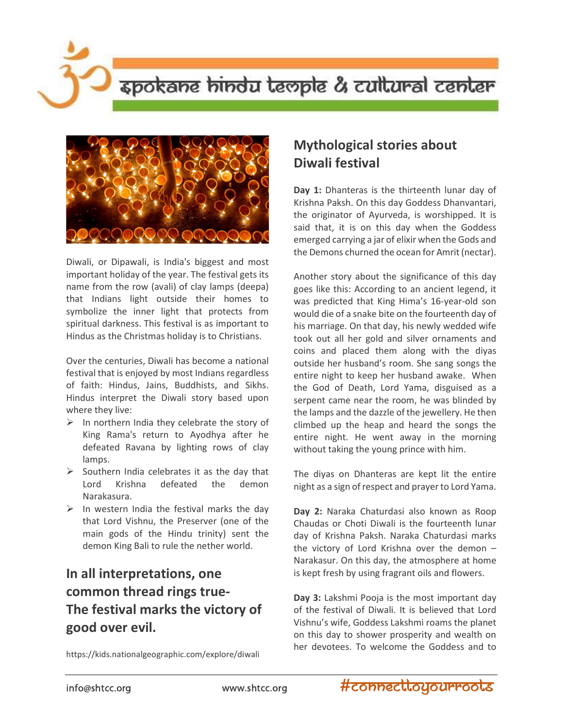## spokane hindu teople & cultural center



Diwali, or Dipawali, is India's biggest and most important holiday of the year. The festival gets its name from the row (avali) of clay lamps (deepa) that Indians light outside their homes to symbolize the inner light that protects from spiritual darkness. This festival is as important to Hindus as the Christmas holiday is to Christians.

Over the centuries, Diwali has become a national festival that is enjoyed by most Indians regardless of faith: Hindus, Jains, Buddhists, and Sikhs. Hindus interpret the Diwali story based upon where they live:

- $\triangleright$  In northern India they celebrate the story of King Rama's return to Ayodhya after he defeated Ravana by lighting rows of clay lamps.
- $\triangleright$  Southern India celebrates it as the day that Lord Krishna defeated the demon Narakasura.
- $\triangleright$  In western India the festival marks the day that Lord Vishnu, the Preserver (one of the main gods of the Hindu trinity) sent the demon King Bali to rule the nether world.

## In all interpretations, one common thread rings true-The festival marks the victory of good over evil.

https://kids.nationalgeographic.com/explore/diwali

## Mythological stories about Diwali festival

Day 1: Dhanteras is the thirteenth lunar day of Krishna Paksh. On this day Goddess Dhanvantari, the originator of Ayurveda, is worshipped. It is said that, it is on this day when the Goddess emerged carrying a jar of elixir when the Gods and the Demons churned the ocean for Amrit (nectar).

Another story about the significance of this day goes like this: According to an ancient legend, it was predicted that King Hima's 16-year-old son would die of a snake bite on the fourteenth day of his marriage. On that day, his newly wedded wife took out all her gold and silver ornaments and coins and placed them along with the diyas outside her husband's room. She sang songs the entire night to keep her husband awake. When the God of Death, Lord Yama, disguised as a serpent came near the room, he was blinded by the lamps and the dazzle of the jewellery. He then climbed up the heap and heard the songs the entire night. He went away in the morning without taking the young prince with him.

The diyas on Dhanteras are kept lit the entire night as a sign of respect and prayer to Lord Yama.

Day 2: Naraka Chaturdasi also known as Roop Chaudas or Choti Diwali is the fourteenth lunar day of Krishna Paksh. Naraka Chaturdasi marks the victory of Lord Krishna over the demon – Narakasur. On this day, the atmosphere at home is kept fresh by using fragrant oils and flowers.

Day 3: Lakshmi Pooja is the most important day of the festival of Diwali. It is believed that Lord Vishnu's wife, Goddess Lakshmi roams the planet on this day to shower prosperity and wealth on her devotees. To welcome the Goddess and to